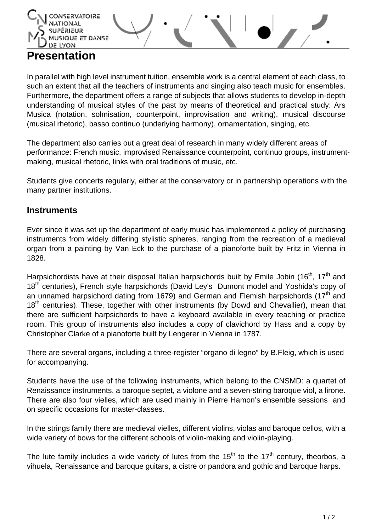

## **Presentation**

In parallel with high level instrument tuition, ensemble work is a central element of each class, to such an extent that all the teachers of instruments and singing also teach music for ensembles. Furthermore, the department offers a range of subjects that allows students to develop in-depth understanding of musical styles of the past by means of theoretical and practical study: Ars Musica (notation, solmisation, counterpoint, improvisation and writing), musical discourse (musical rhetoric), basso continuo (underlying harmony), ornamentation, singing, etc.

The department also carries out a great deal of research in many widely different areas of performance: French music, improvised Renaissance counterpoint, continuo groups, instrumentmaking, musical rhetoric, links with oral traditions of music, etc.

Students give concerts regularly, either at the conservatory or in partnership operations with the many partner institutions.

## **Instruments**

Ever since it was set up the department of early music has implemented a policy of purchasing instruments from widely differing stylistic spheres, ranging from the recreation of a medieval organ from a painting by Van Eck to the purchase of a pianoforte built by Fritz in Vienna in 1828.

Harpsichordists have at their disposal Italian harpsichords built by Emile Jobin (16<sup>th</sup>, 17<sup>th</sup> and 18<sup>th</sup> centuries), French style harpsichords (David Ley's Dumont model and Yoshida's copy of an unnamed harpsichord dating from 1679) and German and Flemish harpsichords (17<sup>th</sup> and  $18<sup>th</sup>$  centuries). These, together with other instruments (by Dowd and Chevallier), mean that there are sufficient harpsichords to have a keyboard available in every teaching or practice room. This group of instruments also includes a copy of clavichord by Hass and a copy by Christopher Clarke of a pianoforte built by Lengerer in Vienna in 1787.

There are several organs, including a three-register "organo di legno" by B.Fleig, which is used for accompanying.

Students have the use of the following instruments, which belong to the CNSMD: a quartet of Renaissance instruments, a baroque septet, a violone and a seven-string baroque viol, a lirone. There are also four vielles, which are used mainly in Pierre Hamon's ensemble sessions and on specific occasions for master-classes.

In the strings family there are medieval vielles, different violins, violas and baroque cellos, with a wide variety of bows for the different schools of violin-making and violin-playing.

The lute family includes a wide variety of lutes from the  $15<sup>th</sup>$  to the  $17<sup>th</sup>$  century, theorbos, a vihuela, Renaissance and baroque guitars, a cistre or pandora and gothic and baroque harps.